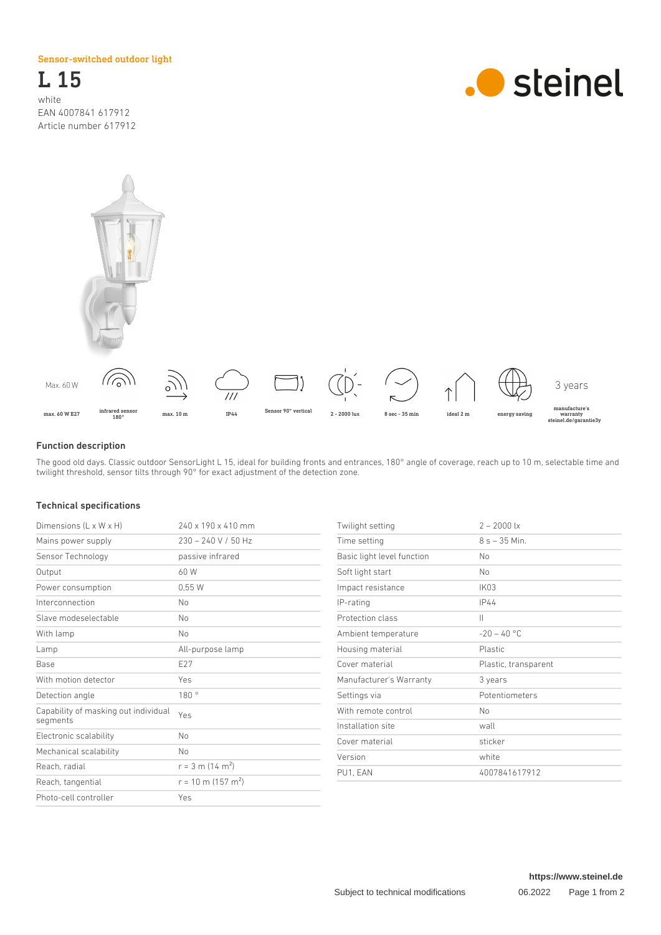Sensor-switched outdoor light

L 15 white EAN 4007841 617912 Article number 617912





## Function description

The good old days. Classic outdoor SensorLight L 15, ideal for building fronts and entrances, 180° angle of coverage, reach up to 10 m, selectable time and twilight threshold, sensor tilts through 90° for exact adjustment of the detection zone.

## Technical specifications

| Dimensions (L x W x H)                           | 240 x 190 x 410 mm               | Twilight setting           | $2 - 2000$ lx        |
|--------------------------------------------------|----------------------------------|----------------------------|----------------------|
| Mains power supply                               | $230 - 240$ V / 50 Hz            | Time setting               | $8 s - 35 Min.$      |
| Sensor Technology                                | passive infrared                 | Basic light level function | No                   |
| Output                                           | 60 W                             | Soft light start           | No                   |
| Power consumption                                | 0,55W                            | Impact resistance          | IK03                 |
| Interconnection                                  | <b>No</b>                        | IP-rating                  | IP44                 |
| Slave modeselectable                             | No.                              | Protection class           | $\parallel$          |
| With lamp                                        | No.                              | Ambient temperature        | $-20 - 40 °C$        |
| Lamp                                             | All-purpose lamp                 | Housing material           | Plastic              |
| Base                                             | E27                              | Cover material             | Plastic, transparent |
| With motion detector                             | Yes                              | Manufacturer's Warranty    | 3 years              |
| Detection angle                                  | 180°                             | Settings via               | Potentiometers       |
| Capability of masking out individual<br>segments | Yes                              | With remote control        | No                   |
|                                                  |                                  | Installation site          | wall                 |
| Electronic scalability                           | No.                              | Cover material             | sticker              |
| Mechanical scalability                           | No.                              | Version                    | white                |
| Reach, radial                                    | $r = 3$ m (14 m <sup>2</sup> )   | PU1, EAN                   | 4007841617912        |
| Reach, tangential                                | $r = 10$ m (157 m <sup>2</sup> ) |                            |                      |
| Photo-cell controller                            | Yes                              |                            |                      |